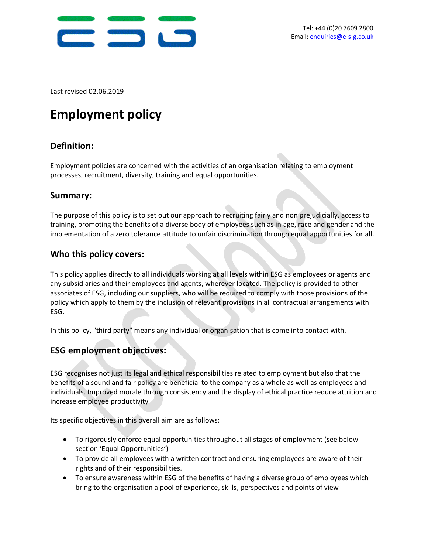

Last revised 02.06.2019

# **Employment policy**

#### **Definition:**

Employment policies are concerned with the activities of an organisation relating to employment processes, recruitment, diversity, training and equal opportunities.

#### **Summary:**

The purpose of this policy is to set out our approach to recruiting fairly and non prejudicially, access to training, promoting the benefits of a diverse body of employees such as in age, race and gender and the implementation of a zero tolerance attitude to unfair discrimination through equal apportunities for all.

#### **Who this policy covers:**

This policy applies directly to all individuals working at all levels within ESG as employees or agents and any subsidiaries and their employees and agents, wherever located. The policy is provided to other associates of ESG, including our suppliers, who will be required to comply with those provisions of the policy which apply to them by the inclusion of relevant provisions in all contractual arrangements with ESG.

In this policy, "third party" means any individual or organisation that is come into contact with.

#### **ESG employment objectives:**

ESG recognises not just its legal and ethical responsibilities related to employment but also that the benefits of a sound and fair policy are beneficial to the company as a whole as well as employees and individuals. Improved morale through consistency and the display of ethical practice reduce attrition and increase employee productivity

Its specific objectives in this overall aim are as follows:

- To rigorously enforce equal opportunities throughout all stages of employment (see below section 'Equal Opportunities')
- To provide all employees with a written contract and ensuring employees are aware of their rights and of their responsibilities.
- To ensure awareness within ESG of the benefits of having a diverse group of employees which bring to the organisation a pool of experience, skills, perspectives and points of view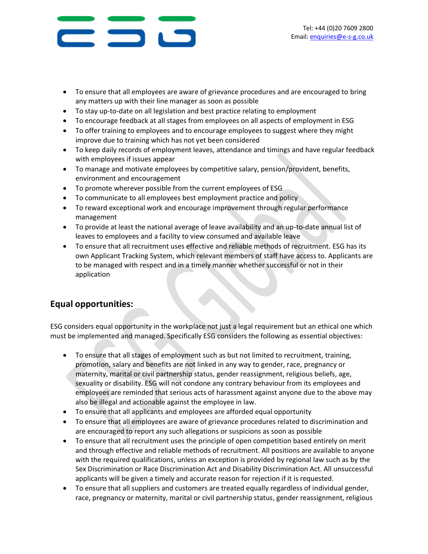

- To ensure that all employees are aware of grievance procedures and are encouraged to bring any matters up with their line manager as soon as possible
- To stay up-to-date on all legislation and best practice relating to employment
- To encourage feedback at all stages from employees on all aspects of employment in ESG
- To offer training to employees and to encourage employees to suggest where they might improve due to training which has not yet been considered
- To keep daily records of employment leaves, attendance and timings and have regular feedback with employees if issues appear
- To manage and motivate employees by competitive salary, pension/provident, benefits, environment and encouragement
- To promote wherever possible from the current employees of ESG
- To communicate to all employees best employment practice and policy
- To reward exceptional work and encourage improvement through regular performance management
- To provide at least the national average of leave availability and an up-to-date annual list of leaves to employees and a facility to view consumed and available leave
- To ensure that all recruitment uses effective and reliable methods of recruitment. ESG has its own Applicant Tracking System, which relevant members of staff have access to. Applicants are to be managed with respect and in a timely manner whether successful or not in their application

## **Equal opportunities:**

ESG considers equal opportunity in the workplace not just a legal requirement but an ethical one which must be implemented and managed. Specifically ESG considers the following as essential objectives:

- To ensure that all stages of employment such as but not limited to recruitment, training, promotion, salary and benefits are not linked in any way to gender, race, pregnancy or maternity, marital or civil partnership status, gender reassignment, religious beliefs, age, sexuality or disability. ESG will not condone any contrary behaviour from its employees and employees are reminded that serious acts of harassment against anyone due to the above may also be illegal and actionable against the employee in law.
- To ensure that all applicants and employees are afforded equal opportunity
- To ensure that all employees are aware of grievance procedures related to discrimination and are encouraged to report any such allegations or suspicions as soon as possible
- To ensure that all recruitment uses the principle of open competition based entirely on merit and through effective and reliable methods of recruitment. All positions are available to anyone with the required qualifications, unless an exception is provided by regional law such as by the Sex Discrimination or Race Discrimination Act and Disability Discrimination Act. All unsuccessful applicants will be given a timely and accurate reason for rejection if it is requested.
- To ensure that all suppliers and customers are treated equally regardless of individual gender, race, pregnancy or maternity, marital or civil partnership status, gender reassignment, religious